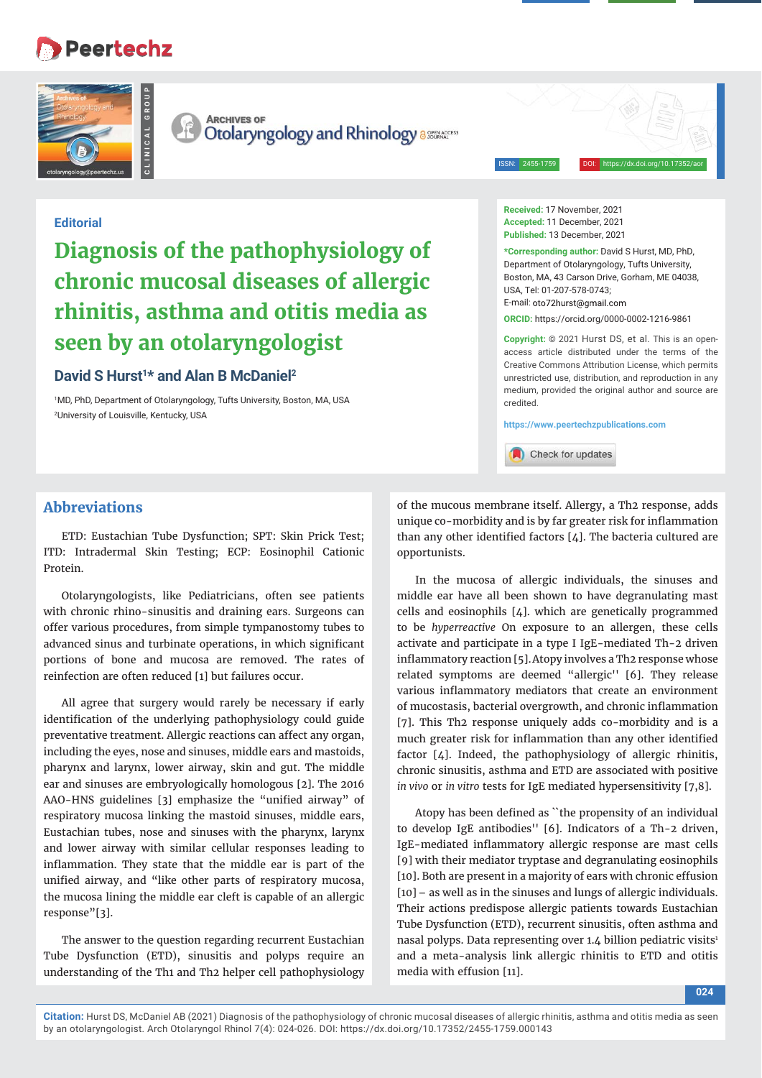# **Peertechz**





**CLINICAL GROUP**

**ARCHIVES OF** Otolaryngology and Rhinology assured

ISSN: 2455-1759 DOI: https://dx.doi.org/10.17352/aor

## **Editorial**

# **Diagnosis of the pathophysiology of chronic mucosal diseases of allergic rhinitis, asthma and otitis media as seen by an otolaryngologist**

## David S Hurst<sup>1\*</sup> and Alan B McDaniel<sup>2</sup>

1 MD, PhD, Department of Otolaryngology, Tufts University, Boston, MA, USA 2 University of Louisville, Kentucky, USA

## **Abbreviations**

ETD: Eustachian Tube Dysfunction; SPT: Skin Prick Test; ITD: Intradermal Skin Testing; ECP: Eosinophil Cationic Protein.

Otolaryngologists, like Pediatricians, often see patients with chronic rhino-sinusitis and draining ears. Surgeons can offer various procedures, from simple tympanostomy tubes to advanced sinus and turbinate operations, in which significant portions of bone and mucosa are removed. The rates of reinfection are often reduced [1] but failures occur.

All agree that surgery would rarely be necessary if early identification of the underlying pathophysiology could guide preventative treatment. Allergic reactions can affect any organ, including the eyes, nose and sinuses, middle ears and mastoids, pharynx and larynx, lower airway, skin and gut. The middle ear and sinuses are embryologically homologous [2]. The 2016 AAO-HNS guidelines [3] emphasize the "unified airway" of respiratory mucosa linking the mastoid sinuses, middle ears, Eustachian tubes, nose and sinuses with the pharynx, larynx and lower airway with similar cellular responses leading to inflammation. They state that the middle ear is part of the unified airway, and "like other parts of respiratory mucosa, the mucosa lining the middle ear cleft is capable of an allergic response"[3].

The answer to the question regarding recurrent Eustachian Tube Dysfunction (ETD), sinusitis and polyps require an understanding of the Th1 and Th2 helper cell pathophysiology

**Received:** 17 November, 2021 **Accepted:** 11 December, 2021 **Published:** 13 December, 2021

**\*Corresponding author:** David S Hurst, MD, PhD, Department of Otolaryngology, Tufts University, Boston, MA, 43 Carson Drive, Gorham, ME 04038, USA, Tel: 01-207-578-0743; E-mail: oto72hurst@qmail.com

**ORCID:** https://orcid.org/0000-0002-1216-9861

**Copyright:** © 2021 Hurst DS, et al. This is an openaccess article distributed under the terms of the Creative Commons Attribution License, which permits unrestricted use, distribution, and reproduction in any medium, provided the original author and source are credited.

**https://www.peertechzpublications.com**

Check for updates

of the mucous membrane itself. Allergy, a Th2 response, adds unique co-morbidity and is by far greater risk for inflammation than any other identified factors  $[4]$ . The bacteria cultured are opportunists.

In the mucosa of allergic individuals, the sinuses and middle ear have all been shown to have degranulating mast cells and eosinophils [4]. which are genetically programmed to be *hyperreactive* On exposure to an allergen, these cells activate and participate in a type I IgE-mediated Th-2 driven inflammatory reaction [5]. Atopy involves a Th2 response whose related symptoms are deemed "allergic'' [6]. They release various inflammatory mediators that create an environment of mucostasis, bacterial overgrowth, and chronic inflammation [7]. This Th2 response uniquely adds co-morbidity and is a much greater risk for inflammation than any other identified factor [4]. Indeed, the pathophysiology of allergic rhinitis, chronic sinusitis, asthma and ETD are associated with positive *in vivo* or *in vitro* tests for IgE mediated hypersensitivity [7,8].

Atopy has been defined as "the propensity of an individual to develop IgE antibodies'' [6]. Indicators of a Th-2 driven, IgE-mediated inflammatory allergic response are mast cells [9] with their mediator tryptase and degranulating eosinophils [10]. Both are present in a majority of ears with chronic effusion [10]– as well as in the sinuses and lungs of allergic individuals. Their actions predispose allergic patients towards Eustachian Tube Dysfunction (ETD), recurrent sinusitis, often asthma and nasal polyps. Data representing over 1.4 billion pediatric visits<sup>1</sup> and a meta-analysis link allergic rhinitis to ETD and otitis media with effusion [11].

**Citation:** Hurst DS, McDaniel AB (2021) Diagnosis of the pathophysiology of chronic mucosal diseases of allergic rhinitis, asthma and otitis media as seen by an otolaryngologist. Arch Otolaryngol Rhinol 7(4): 024-026. DOI: https://dx.doi.org/10.17352/2455-1759.000143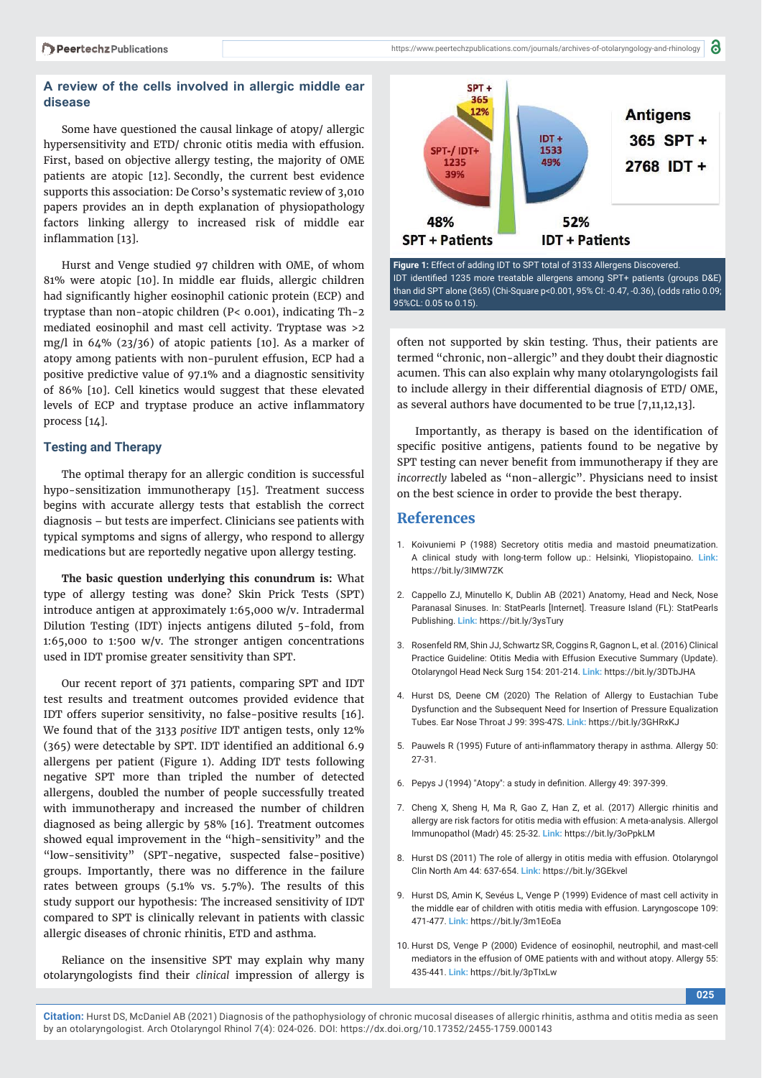### **A review of the cells involved in allergic middle ear disease**

Some have questioned the causal linkage of atopy/ allergic hypersensitivity and ETD/ chronic otitis media with effusion. First, based on objective allergy testing, the majority of OME patients are atopic [12]. Secondly, the current best evidence supports this association: De Corso's systematic review of 3,010 papers provides an in depth explanation of physiopathology factors linking allergy to increased risk of middle ear inflammation [13].

Hurst and Venge studied 97 children with OME, of whom 81% were atopic [10]. In middle ear fluids, allergic children had significantly higher eosinophil cationic protein (ECP) and tryptase than non-atopic children (P< 0.001), indicating Th-2 mediated eosinophil and mast cell activity. Tryptase was >2 mg/l in 64% (23/36) of atopic patients [10]. As a marker of atopy among patients with non-purulent effusion, ECP had a positive predictive value of 97.1% and a diagnostic sensitivity of 86% [10]. Cell kinetics would suggest that these elevated levels of ECP and tryptase produce an active inflammatory process [14].

#### **Testing and Therapy**

The optimal therapy for an allergic condition is successful hypo-sensitization immunotherapy [15]. Treatment success begins with accurate allergy tests that establish the correct diagnosis – but tests are imperfect. Clinicians see patients with typical symptoms and signs of allergy, who respond to allergy medications but are reportedly negative upon allergy testing.

**The basic question underlying this conundrum is:** What type of allergy testing was done? Skin Prick Tests (SPT) introduce antigen at approximately 1:65,000 w/v. Intradermal Dilution Testing (IDT) injects antigens diluted 5-fold, from 1:65,000 to 1:500 w/v. The stronger antigen concentrations used in IDT promise greater sensitivity than SPT.

Our recent report of 371 patients, comparing SPT and IDT test results and treatment outcomes provided evidence that IDT offers superior sensitivity, no false-positive results [16]. We found that of the 3133 *positive* IDT antigen tests, only 12% (365) were detectable by SPT. IDT identified an additional 6.9 allergens per patient (Figure 1). Adding IDT tests following negative SPT more than tripled the number of detected allergens, doubled the number of people successfully treated with immunotherapy and increased the number of children diagnosed as being allergic by 58% [16]. Treatment outcomes showed equal improvement in the "high-sensitivity" and the "low-sensitivity" (SPT-negative, suspected false-positive) groups. Importantly, there was no difference in the failure rates between groups (5.1% vs. 5.7%). The results of this study support our hypothesis: The increased sensitivity of IDT compared to SPT is clinically relevant in patients with classic allergic diseases of chronic rhinitis, ETD and asthma.

Reliance on the insensitive SPT may explain why many otolaryngologists find their *clinical* impression of allergy is



**Figure 1:** Effect of adding IDT to SPT total of 3133 Allergens Discovered. IDT identified 1235 more treatable allergens among SPT+ patients (groups D&E) than did SPT alone (365) (Chi-Square p<0.001, 95% CI: -0.47, -0.36), (odds ratio 0.09; 95%CL: 0.05 to 0.15).

often not supported by skin testing. Thus, their patients are termed "chronic, non-allergic" and they doubt their diagnostic acumen. This can also explain why many otolaryngologists fail to include allergy in their differential diagnosis of ETD/ OME, as several authors have documented to be true [7,11,12,13].

Importantly, as therapy is based on the identification of specific positive antigens, patients found to be negative by SPT testing can never benefit from immunotherapy if they are *incorrectly* labeled as "non-allergic". Physicians need to insist on the best science in order to provide the best therapy.

#### **References**

- 1. Koivuniemi P (1988) Secretory otitis media and mastoid pneumatization. A clinical study with long-term follow up.: Helsinki, Yliopistopaino. **Link:** https://bit.ly/3IMW7ZK
- 2. Cappello ZJ, Minutello K, Dublin AB (2021) Anatomy, Head and Neck, Nose Paranasal Sinuses. In: StatPearls [Internet]. Treasure Island (FL): StatPearls Publishing. **Link:** https://bit.ly/3ysTury
- 3. Rosenfeld RM, Shin JJ, Schwartz SR, Coggins R, Gagnon L, et al. (2016) Clinical Practice Guideline: Otitis Media with Effusion Executive Summary (Update). Otolaryngol Head Neck Surg 154: 201-214. **Link:** https://bit.ly/3DTbJHA
- 4. Hurst DS, Deene CM (2020) The Relation of Allergy to Eustachian Tube Dysfunction and the Subsequent Need for Insertion of Pressure Equalization Tubes. Ear Nose Throat J 99: 39S-47S. **Link:** https://bit.ly/3GHRxKJ
- 5. Pauwels R (1995) Future of anti-inflammatory therapy in asthma. Allergy 50: 27-31.
- 6. Pepys J (1994) "Atopy": a study in definition. Allergy 49: 397-399.
- 7. Cheng X, Sheng H, Ma R, Gao Z, Han Z, et al. (2017) Allergic rhinitis and allergy are risk factors for otitis media with effusion: A meta-analysis. Allergol Immunopathol (Madr) 45: 25-32. **Link:** https://bit.ly/3oPpkLM
- 8. Hurst DS (2011) The role of allergy in otitis media with effusion. Otolaryngol Clin North Am 44: 637-654. **Link:** https://bit.ly/3GEkvel
- 9. Hurst DS, Amin K, Sevéus L, Venge P (1999) Evidence of mast cell activity in the middle ear of children with otitis media with effusion. Laryngoscope 109: 471-477. **Link:** https://bit.ly/3m1EoEa
- 10. Hurst DS, Venge P (2000) Evidence of eosinophil, neutrophil, and mast-cell mediators in the effusion of OME patients with and without atopy. Allergy 55: 435-441. **Link:** https://bit.ly/3pTIxLw

**025**

**Citation:** Hurst DS, McDaniel AB (2021) Diagnosis of the pathophysiology of chronic mucosal diseases of allergic rhinitis, asthma and otitis media as seen by an otolaryngologist. Arch Otolaryngol Rhinol 7(4): 024-026. DOI: https://dx.doi.org/10.17352/2455-1759.000143